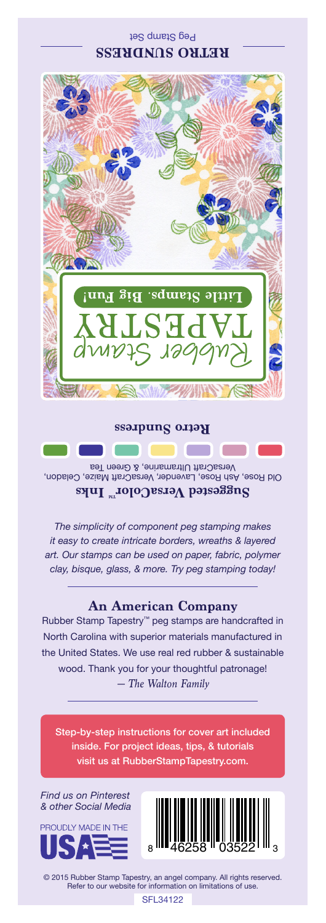## Peg Stamp Set **RETRO SUNDRESS**



#### **Retro Sundress**

Old Rose, Ash Rose, Lavender, VersaCraft Maize, Celadon, VersaCraft Ultramarine, & Green Tea Suggested VersaColor<sup>m</sup> Inks

*The simplicity of component peg stamping makes it easy to create intricate borders, wreaths & layered art. Our stamps can be used on paper, fabric, polymer clay, bisque, glass, & more. Try peg stamping today!*

### **An American Company**

*— The Walton Family* Rubber Stamp Tapestry™ peg stamps are handcrafted in North Carolina with superior materials manufactured in the United States. We use real red rubber & sustainable wood. Thank you for your thoughtful patronage!

Step-by-step instructions for cover art included inside. For project ideas, tips, & tutorials visit us at RubberStampTapestry.com.

*Find us on Pinterest & other Social Media*





© 2015 Rubber Stamp Tapestry, an angel company. All rights reserved. Refer to our website for information on limitations of use.